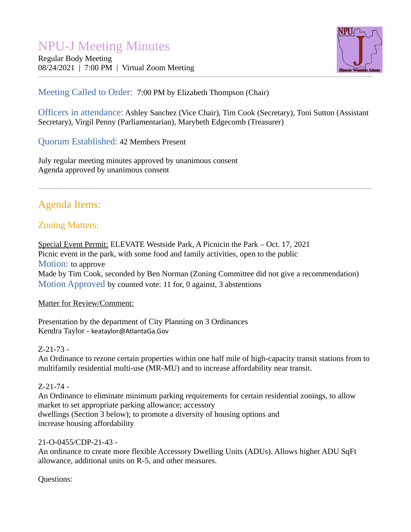# NPU-J Meeting Minutes

Regular Body Meeting 08/24/2021 | 7:00 PM | Virtual Zoom Meeting



## Meeting Called to Order: 7:00 PM by Elizabeth Thompson (Chair)

Officers in attendance: Ashley Sanchez (Vice Chair), Tim Cook (Secretary), Toni Sutton (Assistant Secretary), Virgil Penny (Parliamentarian), Marybeth Edgecomb (Treasurer)

Quorum Established: 42 Members Present

July regular meeting minutes approved by unanimous consent Agenda approved by unanimous consent

# Agenda Items:

# Zoning Matters:

Special Event Permit: ELEVATE Westside Park, A Picnicin the Park – Oct. 17, 2021 Picnic event in the park, with some food and family activities, open to the public Motion: to approve Made by Tim Cook, seconded by Ben Norman (Zoning Committee did not give a recommendation) Motion Approved by counted vote: 11 for, 0 against, 3 abstentions

#### Matter for Review/Comment:

Presentation by the department of City Planning on 3 Ordinances Kendra Taylor - [keataylor@AtlantaGa.Gov](mailto:keataylor@AtlantaGa.Gov)

#### Z-21-73 -

An Ordinance to rezone certain properties within one half mile of high-capacity transit stations from to multifamily residential multi-use (MR-MU) and to increase affordability near transit.

#### Z-21-74 -

An Ordinance to eliminate minimum parking requirements for certain residential zonings, to allow market to set appropriate parking allowance; accessory dwellings (Section 3 below); to promote a diversity of housing options and increase housing affordability

#### 21-O-0455/CDP-21-43 -

An ordinance to create more flexible Accessory Dwelling Units (ADUs). Allows higher ADU SqFt allowance, additional units on R-5, and other measures.

Questions: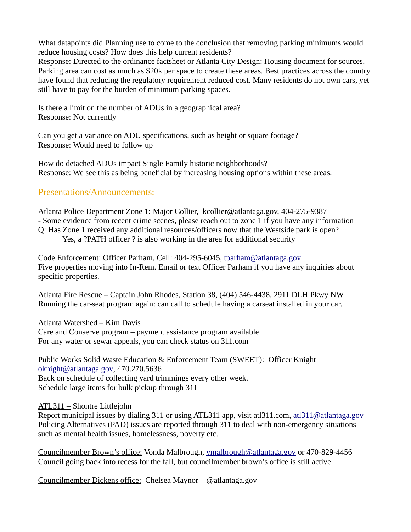What datapoints did Planning use to come to the conclusion that removing parking minimums would reduce housing costs? How does this help current residents?

Response: Directed to the ordinance factsheet or Atlanta City Design: Housing document for sources. Parking area can cost as much as \$20k per space to create these areas. Best practices across the country have found that reducing the regulatory requirement reduced cost. Many residents do not own cars, yet still have to pay for the burden of minimum parking spaces.

Is there a limit on the number of ADUs in a geographical area? Response: Not currently

Can you get a variance on ADU specifications, such as height or square footage? Response: Would need to follow up

How do detached ADUs impact Single Family historic neighborhoods? Response: We see this as being beneficial by increasing housing options within these areas.

### Presentations/Announcements:

Atlanta Police Department Zone 1: Major Collier, kcollier@atlantaga.gov, 404-275-9387 - Some evidence from recent crime scenes, please reach out to zone 1 if you have any information Q: Has Zone 1 received any additional resources/officers now that the Westside park is open? Yes, a ?PATH officer ? is also working in the area for additional security

Code Enforcement: Officer Parham, Cell: 404-295-6045, [tparham@atlantaga.gov](mailto:tparham@atlantaga.gov) Five properties moving into In-Rem. Email or text Officer Parham if you have any inquiries about specific properties.

Atlanta Fire Rescue – Captain John Rhodes, Station 38, (404) 546-4438, 2911 DLH Pkwy NW Running the car-seat program again: can call to schedule having a carseat installed in your car.

Atlanta Watershed – Kim Davis Care and Conserve program – payment assistance program available For any water or sewar appeals, you can check status on 311.com

Public Works Solid Waste Education & Enforcement Team (SWEET): Officer Knight [oknight@atlantaga.gov,](mailto:oknight@atlantaga.gov) 470.270.5636 Back on schedule of collecting yard trimmings every other week. Schedule large items for bulk pickup through 311

#### ATL311 – Shontre Littlejohn

Report municipal issues by dialing 311 or using ATL311 app, visit at  $\alpha$ 1311.com, at  $\alpha$ 1311 $\varphi$  at lantaga.gov Policing Alternatives (PAD) issues are reported through 311 to deal with non-emergency situations such as mental health issues, homelessness, poverty etc.

Councilmember Brown's office: Vonda Malbrough, [ymalbrough@atlantaga.gov](mailto:ymalbrough@atlantaga.gov) or 470-829-4456 Council going back into recess for the fall, but councilmember brown's office is still active.

Councilmember Dickens office: Chelsea Maynor @atlantaga.gov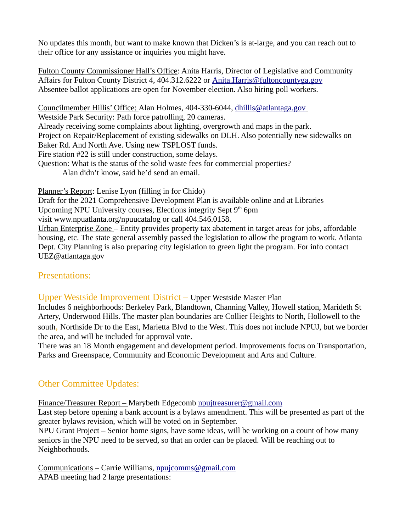No updates this month, but want to make known that Dicken's is at-large, and you can reach out to their office for any assistance or inquiries you might have.

Fulton County Commissioner Hall's Office: Anita Harris, Director of Legislative and Community Affairs for Fulton County District 4, 404.312.6222 or [Anita.Harris@fultoncountyga.gov](mailto:Anita.Harris@fultoncountyga.gov) Absentee ballot applications are open for November election. Also hiring poll workers.

Councilmember Hillis' Office: Alan Holmes, 404-330-6044, [dhillis@atlantaga.gov](mailto:dhillis@atlantaga.gov) Westside Park Security: Path force patrolling, 20 cameras. Already receiving some complaints about lighting, overgrowth and maps in the park. Project on Repair/Replacement of existing sidewalks on DLH. Also potentially new sidewalks on Baker Rd. And North Ave. Using new TSPLOST funds. Fire station #22 is still under construction, some delays. Question: What is the status of the solid waste fees for commercial properties? Alan didn't know, said he'd send an email. Planner's Report: Lenise Lyon (filling in for Chido)

Draft for the 2021 Comprehensive Development Plan is available online and at Libraries Upcoming NPU University courses, Elections integrity Sept  $9<sup>th</sup>$  6pm visit www.npuatlanta.org/npuucatalog or call 404.546.0158. Urban Enterprise Zone – Entity provides property tax abatement in target areas for jobs, affordable housing, etc. The state general assembly passed the legislation to allow the program to work. Atlanta Dept. City Planning is also preparing city legislation to green light the program. For info contact UEZ@atlantaga.gov

#### Presentations:

Upper Westside Improvement District – Upper Westside Master Plan

Includes 6 neighborhoods: Berkeley Park, Blandtown, Channing Valley, Howell station, Marideth St Artery, Underwood Hills. The master plan boundaries are Collier Heights to North, Hollowell to the south, Northside Dr to the East, Marietta Blvd to the West. This does not include NPUJ, but we border the area, and will be included for approval vote.

There was an 18 Month engagement and development period. Improvements focus on Transportation, Parks and Greenspace, Community and Economic Development and Arts and Culture.

# Other Committee Updates:

Finance/Treasurer Report – Marybeth Edgecomb [npujtreasurer@gmail.com](mailto:npujtreasurer@gmail.com)

Last step before opening a bank account is a bylaws amendment. This will be presented as part of the greater bylaws revision, which will be voted on in September.

NPU Grant Project – Senior home signs, have some ideas, will be working on a count of how many seniors in the NPU need to be served, so that an order can be placed. Will be reaching out to Neighborhoods.

Communications – Carrie Williams, [npujcomms@gmail.com](mailto:npujcomms@gmail.com) APAB meeting had 2 large presentations: